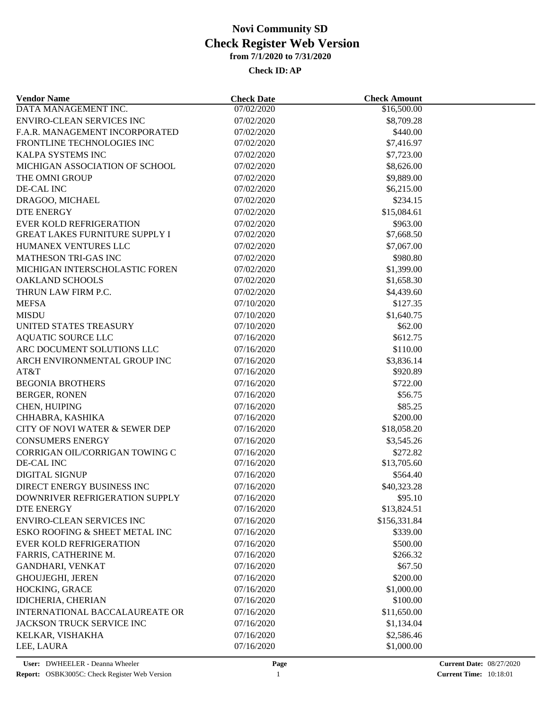### **Check ID:AP**

| DATA MANAGEMENT INC.<br>07/02/2020<br>\$16,500.00<br><b>ENVIRO-CLEAN SERVICES INC</b><br>07/02/2020<br>\$8,709.28<br>F.A.R. MANAGEMENT INCORPORATED<br>07/02/2020<br>\$440.00<br>FRONTLINE TECHNOLOGIES INC<br>07/02/2020<br>\$7,416.97<br>KALPA SYSTEMS INC<br>07/02/2020<br>\$7,723.00<br>MICHIGAN ASSOCIATION OF SCHOOL<br>07/02/2020<br>\$8,626.00<br>THE OMNI GROUP<br>07/02/2020<br>\$9,889.00<br>DE-CAL INC<br>\$6,215.00<br>07/02/2020<br>\$234.15<br>DRAGOO, MICHAEL<br>07/02/2020<br>07/02/2020<br>\$15,084.61<br>DTE ENERGY<br><b>EVER KOLD REFRIGERATION</b><br>07/02/2020<br>\$963.00<br><b>GREAT LAKES FURNITURE SUPPLY I</b><br>07/02/2020<br>\$7,668.50<br>HUMANEX VENTURES LLC<br>07/02/2020<br>\$7,067.00<br><b>MATHESON TRI-GAS INC</b><br>07/02/2020<br>\$980.80<br>MICHIGAN INTERSCHOLASTIC FOREN<br>07/02/2020<br>\$1,399.00<br><b>OAKLAND SCHOOLS</b><br>07/02/2020<br>\$1,658.30<br>THRUN LAW FIRM P.C.<br>07/02/2020<br>\$4,439.60<br><b>MEFSA</b><br>07/10/2020<br>\$127.35<br><b>MISDU</b><br>07/10/2020<br>\$1,640.75<br>UNITED STATES TREASURY<br>07/10/2020<br>\$62.00<br><b>AQUATIC SOURCE LLC</b><br>07/16/2020<br>\$612.75<br>ARC DOCUMENT SOLUTIONS LLC<br>07/16/2020<br>\$110.00<br>ARCH ENVIRONMENTAL GROUP INC<br>07/16/2020<br>\$3,836.14<br>\$920.89<br>AT&T<br>07/16/2020<br><b>BEGONIA BROTHERS</b><br>\$722.00<br>07/16/2020<br><b>BERGER, RONEN</b><br>07/16/2020<br>\$56.75<br>CHEN, HUIPING<br>07/16/2020<br>\$85.25<br>CHHABRA, KASHIKA<br>07/16/2020<br>\$200.00<br>CITY OF NOVI WATER & SEWER DEP<br>07/16/2020<br>\$18,058.20<br><b>CONSUMERS ENERGY</b><br>07/16/2020<br>\$3,545.26<br>CORRIGAN OIL/CORRIGAN TOWING C<br>07/16/2020<br>\$272.82<br>DE-CAL INC<br>07/16/2020<br>\$13,705.60<br><b>DIGITAL SIGNUP</b><br>\$564.40<br>07/16/2020<br>DIRECT ENERGY BUSINESS INC<br>07/16/2020<br>\$40,323.28<br>\$95.10<br>DOWNRIVER REFRIGERATION SUPPLY<br>07/16/2020<br>DTE ENERGY<br>07/16/2020<br>\$13,824.51<br><b>ENVIRO-CLEAN SERVICES INC</b><br>07/16/2020<br>\$156,331.84<br>ESKO ROOFING & SHEET METAL INC<br>07/16/2020<br>\$339.00<br><b>EVER KOLD REFRIGERATION</b><br>07/16/2020<br>\$500.00<br>FARRIS, CATHERINE M.<br>07/16/2020<br>\$266.32<br>\$67.50<br><b>GANDHARI, VENKAT</b><br>07/16/2020<br><b>GHOUJEGHI, JEREN</b><br>07/16/2020<br>\$200.00<br>HOCKING, GRACE<br>07/16/2020<br>\$1,000.00<br><b>IDICHERIA, CHERIAN</b><br>\$100.00<br>07/16/2020<br><b>INTERNATIONAL BACCALAUREATE OR</b><br>07/16/2020<br>\$11,650.00<br>JACKSON TRUCK SERVICE INC<br>07/16/2020<br>\$1,134.04<br>KELKAR, VISHAKHA<br>07/16/2020<br>\$2,586.46<br>07/16/2020<br>\$1,000.00<br>LEE, LAURA | <b>Vendor Name</b> | <b>Check Date</b> | <b>Check Amount</b> |  |
|-----------------------------------------------------------------------------------------------------------------------------------------------------------------------------------------------------------------------------------------------------------------------------------------------------------------------------------------------------------------------------------------------------------------------------------------------------------------------------------------------------------------------------------------------------------------------------------------------------------------------------------------------------------------------------------------------------------------------------------------------------------------------------------------------------------------------------------------------------------------------------------------------------------------------------------------------------------------------------------------------------------------------------------------------------------------------------------------------------------------------------------------------------------------------------------------------------------------------------------------------------------------------------------------------------------------------------------------------------------------------------------------------------------------------------------------------------------------------------------------------------------------------------------------------------------------------------------------------------------------------------------------------------------------------------------------------------------------------------------------------------------------------------------------------------------------------------------------------------------------------------------------------------------------------------------------------------------------------------------------------------------------------------------------------------------------------------------------------------------------------------------------------------------------------------------------------------------------------------------------------------------------------------------------------------------------------------------------------------------------------------------------------------------------------------------------------------------------------------------------------------------------------------------------------------------------------------------------------------------------------------------------------------|--------------------|-------------------|---------------------|--|
|                                                                                                                                                                                                                                                                                                                                                                                                                                                                                                                                                                                                                                                                                                                                                                                                                                                                                                                                                                                                                                                                                                                                                                                                                                                                                                                                                                                                                                                                                                                                                                                                                                                                                                                                                                                                                                                                                                                                                                                                                                                                                                                                                                                                                                                                                                                                                                                                                                                                                                                                                                                                                                                     |                    |                   |                     |  |
|                                                                                                                                                                                                                                                                                                                                                                                                                                                                                                                                                                                                                                                                                                                                                                                                                                                                                                                                                                                                                                                                                                                                                                                                                                                                                                                                                                                                                                                                                                                                                                                                                                                                                                                                                                                                                                                                                                                                                                                                                                                                                                                                                                                                                                                                                                                                                                                                                                                                                                                                                                                                                                                     |                    |                   |                     |  |
|                                                                                                                                                                                                                                                                                                                                                                                                                                                                                                                                                                                                                                                                                                                                                                                                                                                                                                                                                                                                                                                                                                                                                                                                                                                                                                                                                                                                                                                                                                                                                                                                                                                                                                                                                                                                                                                                                                                                                                                                                                                                                                                                                                                                                                                                                                                                                                                                                                                                                                                                                                                                                                                     |                    |                   |                     |  |
|                                                                                                                                                                                                                                                                                                                                                                                                                                                                                                                                                                                                                                                                                                                                                                                                                                                                                                                                                                                                                                                                                                                                                                                                                                                                                                                                                                                                                                                                                                                                                                                                                                                                                                                                                                                                                                                                                                                                                                                                                                                                                                                                                                                                                                                                                                                                                                                                                                                                                                                                                                                                                                                     |                    |                   |                     |  |
|                                                                                                                                                                                                                                                                                                                                                                                                                                                                                                                                                                                                                                                                                                                                                                                                                                                                                                                                                                                                                                                                                                                                                                                                                                                                                                                                                                                                                                                                                                                                                                                                                                                                                                                                                                                                                                                                                                                                                                                                                                                                                                                                                                                                                                                                                                                                                                                                                                                                                                                                                                                                                                                     |                    |                   |                     |  |
|                                                                                                                                                                                                                                                                                                                                                                                                                                                                                                                                                                                                                                                                                                                                                                                                                                                                                                                                                                                                                                                                                                                                                                                                                                                                                                                                                                                                                                                                                                                                                                                                                                                                                                                                                                                                                                                                                                                                                                                                                                                                                                                                                                                                                                                                                                                                                                                                                                                                                                                                                                                                                                                     |                    |                   |                     |  |
|                                                                                                                                                                                                                                                                                                                                                                                                                                                                                                                                                                                                                                                                                                                                                                                                                                                                                                                                                                                                                                                                                                                                                                                                                                                                                                                                                                                                                                                                                                                                                                                                                                                                                                                                                                                                                                                                                                                                                                                                                                                                                                                                                                                                                                                                                                                                                                                                                                                                                                                                                                                                                                                     |                    |                   |                     |  |
|                                                                                                                                                                                                                                                                                                                                                                                                                                                                                                                                                                                                                                                                                                                                                                                                                                                                                                                                                                                                                                                                                                                                                                                                                                                                                                                                                                                                                                                                                                                                                                                                                                                                                                                                                                                                                                                                                                                                                                                                                                                                                                                                                                                                                                                                                                                                                                                                                                                                                                                                                                                                                                                     |                    |                   |                     |  |
|                                                                                                                                                                                                                                                                                                                                                                                                                                                                                                                                                                                                                                                                                                                                                                                                                                                                                                                                                                                                                                                                                                                                                                                                                                                                                                                                                                                                                                                                                                                                                                                                                                                                                                                                                                                                                                                                                                                                                                                                                                                                                                                                                                                                                                                                                                                                                                                                                                                                                                                                                                                                                                                     |                    |                   |                     |  |
|                                                                                                                                                                                                                                                                                                                                                                                                                                                                                                                                                                                                                                                                                                                                                                                                                                                                                                                                                                                                                                                                                                                                                                                                                                                                                                                                                                                                                                                                                                                                                                                                                                                                                                                                                                                                                                                                                                                                                                                                                                                                                                                                                                                                                                                                                                                                                                                                                                                                                                                                                                                                                                                     |                    |                   |                     |  |
|                                                                                                                                                                                                                                                                                                                                                                                                                                                                                                                                                                                                                                                                                                                                                                                                                                                                                                                                                                                                                                                                                                                                                                                                                                                                                                                                                                                                                                                                                                                                                                                                                                                                                                                                                                                                                                                                                                                                                                                                                                                                                                                                                                                                                                                                                                                                                                                                                                                                                                                                                                                                                                                     |                    |                   |                     |  |
|                                                                                                                                                                                                                                                                                                                                                                                                                                                                                                                                                                                                                                                                                                                                                                                                                                                                                                                                                                                                                                                                                                                                                                                                                                                                                                                                                                                                                                                                                                                                                                                                                                                                                                                                                                                                                                                                                                                                                                                                                                                                                                                                                                                                                                                                                                                                                                                                                                                                                                                                                                                                                                                     |                    |                   |                     |  |
|                                                                                                                                                                                                                                                                                                                                                                                                                                                                                                                                                                                                                                                                                                                                                                                                                                                                                                                                                                                                                                                                                                                                                                                                                                                                                                                                                                                                                                                                                                                                                                                                                                                                                                                                                                                                                                                                                                                                                                                                                                                                                                                                                                                                                                                                                                                                                                                                                                                                                                                                                                                                                                                     |                    |                   |                     |  |
|                                                                                                                                                                                                                                                                                                                                                                                                                                                                                                                                                                                                                                                                                                                                                                                                                                                                                                                                                                                                                                                                                                                                                                                                                                                                                                                                                                                                                                                                                                                                                                                                                                                                                                                                                                                                                                                                                                                                                                                                                                                                                                                                                                                                                                                                                                                                                                                                                                                                                                                                                                                                                                                     |                    |                   |                     |  |
|                                                                                                                                                                                                                                                                                                                                                                                                                                                                                                                                                                                                                                                                                                                                                                                                                                                                                                                                                                                                                                                                                                                                                                                                                                                                                                                                                                                                                                                                                                                                                                                                                                                                                                                                                                                                                                                                                                                                                                                                                                                                                                                                                                                                                                                                                                                                                                                                                                                                                                                                                                                                                                                     |                    |                   |                     |  |
|                                                                                                                                                                                                                                                                                                                                                                                                                                                                                                                                                                                                                                                                                                                                                                                                                                                                                                                                                                                                                                                                                                                                                                                                                                                                                                                                                                                                                                                                                                                                                                                                                                                                                                                                                                                                                                                                                                                                                                                                                                                                                                                                                                                                                                                                                                                                                                                                                                                                                                                                                                                                                                                     |                    |                   |                     |  |
|                                                                                                                                                                                                                                                                                                                                                                                                                                                                                                                                                                                                                                                                                                                                                                                                                                                                                                                                                                                                                                                                                                                                                                                                                                                                                                                                                                                                                                                                                                                                                                                                                                                                                                                                                                                                                                                                                                                                                                                                                                                                                                                                                                                                                                                                                                                                                                                                                                                                                                                                                                                                                                                     |                    |                   |                     |  |
|                                                                                                                                                                                                                                                                                                                                                                                                                                                                                                                                                                                                                                                                                                                                                                                                                                                                                                                                                                                                                                                                                                                                                                                                                                                                                                                                                                                                                                                                                                                                                                                                                                                                                                                                                                                                                                                                                                                                                                                                                                                                                                                                                                                                                                                                                                                                                                                                                                                                                                                                                                                                                                                     |                    |                   |                     |  |
|                                                                                                                                                                                                                                                                                                                                                                                                                                                                                                                                                                                                                                                                                                                                                                                                                                                                                                                                                                                                                                                                                                                                                                                                                                                                                                                                                                                                                                                                                                                                                                                                                                                                                                                                                                                                                                                                                                                                                                                                                                                                                                                                                                                                                                                                                                                                                                                                                                                                                                                                                                                                                                                     |                    |                   |                     |  |
|                                                                                                                                                                                                                                                                                                                                                                                                                                                                                                                                                                                                                                                                                                                                                                                                                                                                                                                                                                                                                                                                                                                                                                                                                                                                                                                                                                                                                                                                                                                                                                                                                                                                                                                                                                                                                                                                                                                                                                                                                                                                                                                                                                                                                                                                                                                                                                                                                                                                                                                                                                                                                                                     |                    |                   |                     |  |
|                                                                                                                                                                                                                                                                                                                                                                                                                                                                                                                                                                                                                                                                                                                                                                                                                                                                                                                                                                                                                                                                                                                                                                                                                                                                                                                                                                                                                                                                                                                                                                                                                                                                                                                                                                                                                                                                                                                                                                                                                                                                                                                                                                                                                                                                                                                                                                                                                                                                                                                                                                                                                                                     |                    |                   |                     |  |
|                                                                                                                                                                                                                                                                                                                                                                                                                                                                                                                                                                                                                                                                                                                                                                                                                                                                                                                                                                                                                                                                                                                                                                                                                                                                                                                                                                                                                                                                                                                                                                                                                                                                                                                                                                                                                                                                                                                                                                                                                                                                                                                                                                                                                                                                                                                                                                                                                                                                                                                                                                                                                                                     |                    |                   |                     |  |
|                                                                                                                                                                                                                                                                                                                                                                                                                                                                                                                                                                                                                                                                                                                                                                                                                                                                                                                                                                                                                                                                                                                                                                                                                                                                                                                                                                                                                                                                                                                                                                                                                                                                                                                                                                                                                                                                                                                                                                                                                                                                                                                                                                                                                                                                                                                                                                                                                                                                                                                                                                                                                                                     |                    |                   |                     |  |
|                                                                                                                                                                                                                                                                                                                                                                                                                                                                                                                                                                                                                                                                                                                                                                                                                                                                                                                                                                                                                                                                                                                                                                                                                                                                                                                                                                                                                                                                                                                                                                                                                                                                                                                                                                                                                                                                                                                                                                                                                                                                                                                                                                                                                                                                                                                                                                                                                                                                                                                                                                                                                                                     |                    |                   |                     |  |
|                                                                                                                                                                                                                                                                                                                                                                                                                                                                                                                                                                                                                                                                                                                                                                                                                                                                                                                                                                                                                                                                                                                                                                                                                                                                                                                                                                                                                                                                                                                                                                                                                                                                                                                                                                                                                                                                                                                                                                                                                                                                                                                                                                                                                                                                                                                                                                                                                                                                                                                                                                                                                                                     |                    |                   |                     |  |
|                                                                                                                                                                                                                                                                                                                                                                                                                                                                                                                                                                                                                                                                                                                                                                                                                                                                                                                                                                                                                                                                                                                                                                                                                                                                                                                                                                                                                                                                                                                                                                                                                                                                                                                                                                                                                                                                                                                                                                                                                                                                                                                                                                                                                                                                                                                                                                                                                                                                                                                                                                                                                                                     |                    |                   |                     |  |
|                                                                                                                                                                                                                                                                                                                                                                                                                                                                                                                                                                                                                                                                                                                                                                                                                                                                                                                                                                                                                                                                                                                                                                                                                                                                                                                                                                                                                                                                                                                                                                                                                                                                                                                                                                                                                                                                                                                                                                                                                                                                                                                                                                                                                                                                                                                                                                                                                                                                                                                                                                                                                                                     |                    |                   |                     |  |
|                                                                                                                                                                                                                                                                                                                                                                                                                                                                                                                                                                                                                                                                                                                                                                                                                                                                                                                                                                                                                                                                                                                                                                                                                                                                                                                                                                                                                                                                                                                                                                                                                                                                                                                                                                                                                                                                                                                                                                                                                                                                                                                                                                                                                                                                                                                                                                                                                                                                                                                                                                                                                                                     |                    |                   |                     |  |
|                                                                                                                                                                                                                                                                                                                                                                                                                                                                                                                                                                                                                                                                                                                                                                                                                                                                                                                                                                                                                                                                                                                                                                                                                                                                                                                                                                                                                                                                                                                                                                                                                                                                                                                                                                                                                                                                                                                                                                                                                                                                                                                                                                                                                                                                                                                                                                                                                                                                                                                                                                                                                                                     |                    |                   |                     |  |
|                                                                                                                                                                                                                                                                                                                                                                                                                                                                                                                                                                                                                                                                                                                                                                                                                                                                                                                                                                                                                                                                                                                                                                                                                                                                                                                                                                                                                                                                                                                                                                                                                                                                                                                                                                                                                                                                                                                                                                                                                                                                                                                                                                                                                                                                                                                                                                                                                                                                                                                                                                                                                                                     |                    |                   |                     |  |
|                                                                                                                                                                                                                                                                                                                                                                                                                                                                                                                                                                                                                                                                                                                                                                                                                                                                                                                                                                                                                                                                                                                                                                                                                                                                                                                                                                                                                                                                                                                                                                                                                                                                                                                                                                                                                                                                                                                                                                                                                                                                                                                                                                                                                                                                                                                                                                                                                                                                                                                                                                                                                                                     |                    |                   |                     |  |
|                                                                                                                                                                                                                                                                                                                                                                                                                                                                                                                                                                                                                                                                                                                                                                                                                                                                                                                                                                                                                                                                                                                                                                                                                                                                                                                                                                                                                                                                                                                                                                                                                                                                                                                                                                                                                                                                                                                                                                                                                                                                                                                                                                                                                                                                                                                                                                                                                                                                                                                                                                                                                                                     |                    |                   |                     |  |
|                                                                                                                                                                                                                                                                                                                                                                                                                                                                                                                                                                                                                                                                                                                                                                                                                                                                                                                                                                                                                                                                                                                                                                                                                                                                                                                                                                                                                                                                                                                                                                                                                                                                                                                                                                                                                                                                                                                                                                                                                                                                                                                                                                                                                                                                                                                                                                                                                                                                                                                                                                                                                                                     |                    |                   |                     |  |
|                                                                                                                                                                                                                                                                                                                                                                                                                                                                                                                                                                                                                                                                                                                                                                                                                                                                                                                                                                                                                                                                                                                                                                                                                                                                                                                                                                                                                                                                                                                                                                                                                                                                                                                                                                                                                                                                                                                                                                                                                                                                                                                                                                                                                                                                                                                                                                                                                                                                                                                                                                                                                                                     |                    |                   |                     |  |
|                                                                                                                                                                                                                                                                                                                                                                                                                                                                                                                                                                                                                                                                                                                                                                                                                                                                                                                                                                                                                                                                                                                                                                                                                                                                                                                                                                                                                                                                                                                                                                                                                                                                                                                                                                                                                                                                                                                                                                                                                                                                                                                                                                                                                                                                                                                                                                                                                                                                                                                                                                                                                                                     |                    |                   |                     |  |
|                                                                                                                                                                                                                                                                                                                                                                                                                                                                                                                                                                                                                                                                                                                                                                                                                                                                                                                                                                                                                                                                                                                                                                                                                                                                                                                                                                                                                                                                                                                                                                                                                                                                                                                                                                                                                                                                                                                                                                                                                                                                                                                                                                                                                                                                                                                                                                                                                                                                                                                                                                                                                                                     |                    |                   |                     |  |
|                                                                                                                                                                                                                                                                                                                                                                                                                                                                                                                                                                                                                                                                                                                                                                                                                                                                                                                                                                                                                                                                                                                                                                                                                                                                                                                                                                                                                                                                                                                                                                                                                                                                                                                                                                                                                                                                                                                                                                                                                                                                                                                                                                                                                                                                                                                                                                                                                                                                                                                                                                                                                                                     |                    |                   |                     |  |
|                                                                                                                                                                                                                                                                                                                                                                                                                                                                                                                                                                                                                                                                                                                                                                                                                                                                                                                                                                                                                                                                                                                                                                                                                                                                                                                                                                                                                                                                                                                                                                                                                                                                                                                                                                                                                                                                                                                                                                                                                                                                                                                                                                                                                                                                                                                                                                                                                                                                                                                                                                                                                                                     |                    |                   |                     |  |
|                                                                                                                                                                                                                                                                                                                                                                                                                                                                                                                                                                                                                                                                                                                                                                                                                                                                                                                                                                                                                                                                                                                                                                                                                                                                                                                                                                                                                                                                                                                                                                                                                                                                                                                                                                                                                                                                                                                                                                                                                                                                                                                                                                                                                                                                                                                                                                                                                                                                                                                                                                                                                                                     |                    |                   |                     |  |
|                                                                                                                                                                                                                                                                                                                                                                                                                                                                                                                                                                                                                                                                                                                                                                                                                                                                                                                                                                                                                                                                                                                                                                                                                                                                                                                                                                                                                                                                                                                                                                                                                                                                                                                                                                                                                                                                                                                                                                                                                                                                                                                                                                                                                                                                                                                                                                                                                                                                                                                                                                                                                                                     |                    |                   |                     |  |
|                                                                                                                                                                                                                                                                                                                                                                                                                                                                                                                                                                                                                                                                                                                                                                                                                                                                                                                                                                                                                                                                                                                                                                                                                                                                                                                                                                                                                                                                                                                                                                                                                                                                                                                                                                                                                                                                                                                                                                                                                                                                                                                                                                                                                                                                                                                                                                                                                                                                                                                                                                                                                                                     |                    |                   |                     |  |
|                                                                                                                                                                                                                                                                                                                                                                                                                                                                                                                                                                                                                                                                                                                                                                                                                                                                                                                                                                                                                                                                                                                                                                                                                                                                                                                                                                                                                                                                                                                                                                                                                                                                                                                                                                                                                                                                                                                                                                                                                                                                                                                                                                                                                                                                                                                                                                                                                                                                                                                                                                                                                                                     |                    |                   |                     |  |
|                                                                                                                                                                                                                                                                                                                                                                                                                                                                                                                                                                                                                                                                                                                                                                                                                                                                                                                                                                                                                                                                                                                                                                                                                                                                                                                                                                                                                                                                                                                                                                                                                                                                                                                                                                                                                                                                                                                                                                                                                                                                                                                                                                                                                                                                                                                                                                                                                                                                                                                                                                                                                                                     |                    |                   |                     |  |
|                                                                                                                                                                                                                                                                                                                                                                                                                                                                                                                                                                                                                                                                                                                                                                                                                                                                                                                                                                                                                                                                                                                                                                                                                                                                                                                                                                                                                                                                                                                                                                                                                                                                                                                                                                                                                                                                                                                                                                                                                                                                                                                                                                                                                                                                                                                                                                                                                                                                                                                                                                                                                                                     |                    |                   |                     |  |
|                                                                                                                                                                                                                                                                                                                                                                                                                                                                                                                                                                                                                                                                                                                                                                                                                                                                                                                                                                                                                                                                                                                                                                                                                                                                                                                                                                                                                                                                                                                                                                                                                                                                                                                                                                                                                                                                                                                                                                                                                                                                                                                                                                                                                                                                                                                                                                                                                                                                                                                                                                                                                                                     |                    |                   |                     |  |
|                                                                                                                                                                                                                                                                                                                                                                                                                                                                                                                                                                                                                                                                                                                                                                                                                                                                                                                                                                                                                                                                                                                                                                                                                                                                                                                                                                                                                                                                                                                                                                                                                                                                                                                                                                                                                                                                                                                                                                                                                                                                                                                                                                                                                                                                                                                                                                                                                                                                                                                                                                                                                                                     |                    |                   |                     |  |
|                                                                                                                                                                                                                                                                                                                                                                                                                                                                                                                                                                                                                                                                                                                                                                                                                                                                                                                                                                                                                                                                                                                                                                                                                                                                                                                                                                                                                                                                                                                                                                                                                                                                                                                                                                                                                                                                                                                                                                                                                                                                                                                                                                                                                                                                                                                                                                                                                                                                                                                                                                                                                                                     |                    |                   |                     |  |
|                                                                                                                                                                                                                                                                                                                                                                                                                                                                                                                                                                                                                                                                                                                                                                                                                                                                                                                                                                                                                                                                                                                                                                                                                                                                                                                                                                                                                                                                                                                                                                                                                                                                                                                                                                                                                                                                                                                                                                                                                                                                                                                                                                                                                                                                                                                                                                                                                                                                                                                                                                                                                                                     |                    |                   |                     |  |
|                                                                                                                                                                                                                                                                                                                                                                                                                                                                                                                                                                                                                                                                                                                                                                                                                                                                                                                                                                                                                                                                                                                                                                                                                                                                                                                                                                                                                                                                                                                                                                                                                                                                                                                                                                                                                                                                                                                                                                                                                                                                                                                                                                                                                                                                                                                                                                                                                                                                                                                                                                                                                                                     |                    |                   |                     |  |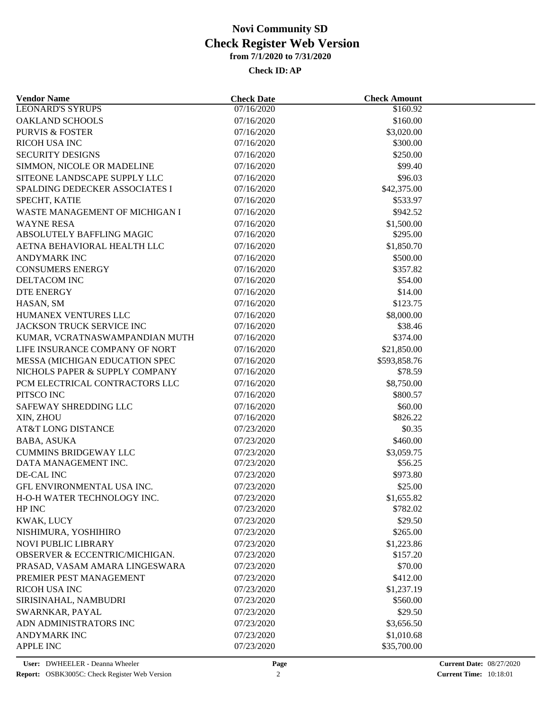### **Check ID:AP**

| <b>Vendor Name</b>             | <b>Check Date</b> | <b>Check Amount</b> |  |
|--------------------------------|-------------------|---------------------|--|
| <b>LEONARD'S SYRUPS</b>        | 07/16/2020        | \$160.92            |  |
| OAKLAND SCHOOLS                | 07/16/2020        | \$160.00            |  |
| <b>PURVIS &amp; FOSTER</b>     | 07/16/2020        | \$3,020.00          |  |
| <b>RICOH USA INC</b>           | 07/16/2020        | \$300.00            |  |
| <b>SECURITY DESIGNS</b>        | 07/16/2020        | \$250.00            |  |
| SIMMON, NICOLE OR MADELINE     | 07/16/2020        | \$99.40             |  |
| SITEONE LANDSCAPE SUPPLY LLC   | 07/16/2020        | \$96.03             |  |
| SPALDING DEDECKER ASSOCIATES I | 07/16/2020        | \$42,375.00         |  |
| SPECHT, KATIE                  | 07/16/2020        | \$533.97            |  |
| WASTE MANAGEMENT OF MICHIGAN I | 07/16/2020        | \$942.52            |  |
| <b>WAYNE RESA</b>              | 07/16/2020        | \$1,500.00          |  |
| ABSOLUTELY BAFFLING MAGIC      | 07/16/2020        | \$295.00            |  |
| AETNA BEHAVIORAL HEALTH LLC    | 07/16/2020        | \$1,850.70          |  |
| <b>ANDYMARK INC</b>            | 07/16/2020        | \$500.00            |  |
| <b>CONSUMERS ENERGY</b>        | 07/16/2020        | \$357.82            |  |
| DELTACOM INC                   | 07/16/2020        | \$54.00             |  |
| <b>DTE ENERGY</b>              | 07/16/2020        | \$14.00             |  |
| HASAN, SM                      | 07/16/2020        | \$123.75            |  |
| HUMANEX VENTURES LLC           | 07/16/2020        | \$8,000.00          |  |
| JACKSON TRUCK SERVICE INC      | 07/16/2020        | \$38.46             |  |
| KUMAR, VCRATNASWAMPANDIAN MUTH | 07/16/2020        | \$374.00            |  |
| LIFE INSURANCE COMPANY OF NORT | 07/16/2020        | \$21,850.00         |  |
| MESSA (MICHIGAN EDUCATION SPEC | 07/16/2020        | \$593,858.76        |  |
| NICHOLS PAPER & SUPPLY COMPANY | 07/16/2020        | \$78.59             |  |
| PCM ELECTRICAL CONTRACTORS LLC | 07/16/2020        | \$8,750.00          |  |
| PITSCO INC                     | 07/16/2020        | \$800.57            |  |
| SAFEWAY SHREDDING LLC          | 07/16/2020        | \$60.00             |  |
| XIN, ZHOU                      | 07/16/2020        | \$826.22            |  |
|                                |                   |                     |  |
| AT&T LONG DISTANCE             | 07/23/2020        | \$0.35              |  |
| BABA, ASUKA                    | 07/23/2020        | \$460.00            |  |
| <b>CUMMINS BRIDGEWAY LLC</b>   | 07/23/2020        | \$3,059.75          |  |
| DATA MANAGEMENT INC.           | 07/23/2020        | \$56.25             |  |
| DE-CAL INC                     | 07/23/2020        | \$973.80            |  |
| GFL ENVIRONMENTAL USA INC.     | 07/23/2020        | \$25.00             |  |
| H-O-H WATER TECHNOLOGY INC.    | 07/23/2020        | \$1,655.82          |  |
| HP INC                         | 07/23/2020        | \$782.02            |  |
| KWAK, LUCY                     | 07/23/2020        | \$29.50             |  |
| NISHIMURA, YOSHIHIRO           | 07/23/2020        | \$265.00            |  |
| <b>NOVI PUBLIC LIBRARY</b>     | 07/23/2020        | \$1,223.86          |  |
| OBSERVER & ECCENTRIC/MICHIGAN. | 07/23/2020        | \$157.20            |  |
| PRASAD, VASAM AMARA LINGESWARA | 07/23/2020        | \$70.00             |  |
| PREMIER PEST MANAGEMENT        | 07/23/2020        | \$412.00            |  |
| <b>RICOH USA INC</b>           | 07/23/2020        | \$1,237.19          |  |
| SIRISINAHAL, NAMBUDRI          | 07/23/2020        | \$560.00            |  |
| SWARNKAR, PAYAL                | 07/23/2020        | \$29.50             |  |
| ADN ADMINISTRATORS INC         | 07/23/2020        | \$3,656.50          |  |
| ANDYMARK INC                   | 07/23/2020        | \$1,010.68          |  |
| APPLE INC                      | 07/23/2020        | \$35,700.00         |  |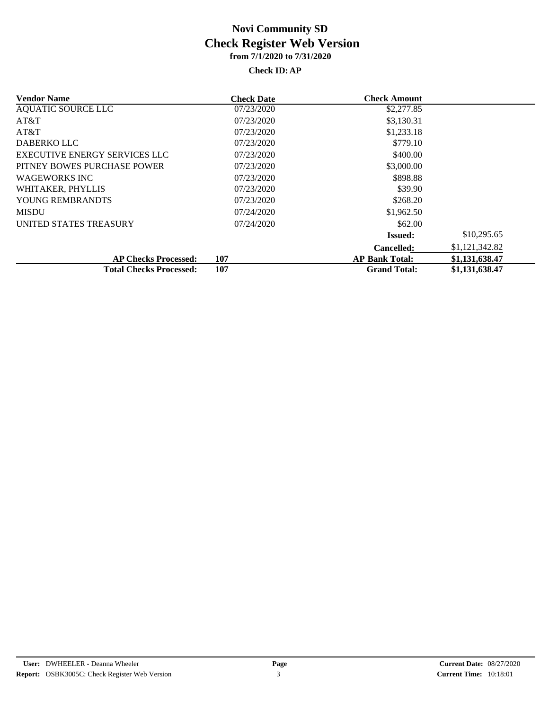### **Check ID:AP**

| <b>Vendor Name</b>                   | <b>Check Date</b> | <b>Check Amount</b>   |                |
|--------------------------------------|-------------------|-----------------------|----------------|
| <b>AQUATIC SOURCE LLC</b>            | 07/23/2020        | \$2,277.85            |                |
| AT&T                                 | 07/23/2020        | \$3,130.31            |                |
| AT&T                                 | 07/23/2020        | \$1,233.18            |                |
| <b>DABERKO LLC</b>                   | 07/23/2020        | \$779.10              |                |
| <b>EXECUTIVE ENERGY SERVICES LLC</b> | 07/23/2020        | \$400.00              |                |
| PITNEY BOWES PURCHASE POWER          | 07/23/2020        | \$3,000.00            |                |
| <b>WAGEWORKS INC</b>                 | 07/23/2020        | \$898.88              |                |
| WHITAKER, PHYLLIS                    | 07/23/2020        | \$39.90               |                |
| YOUNG REMBRANDTS                     | 07/23/2020        | \$268.20              |                |
| <b>MISDU</b>                         | 07/24/2020        | \$1,962.50            |                |
| UNITED STATES TREASURY               | 07/24/2020        | \$62.00               |                |
|                                      |                   | <b>Issued:</b>        | \$10,295.65    |
|                                      |                   | <b>Cancelled:</b>     | \$1,121,342.82 |
| <b>AP Checks Processed:</b>          | 107               | <b>AP Bank Total:</b> | \$1,131,638.47 |
| <b>Total Checks Processed:</b>       | 107               | <b>Grand Total:</b>   | \$1,131,638.47 |